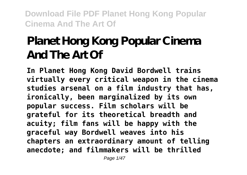# **Planet Hong Kong Popular Cinema And The Art Of**

**In Planet Hong Kong David Bordwell trains virtually every critical weapon in the cinema studies arsenal on a film industry that has, ironically, been marginalized by its own popular success. Film scholars will be grateful for its theoretical breadth and acuity; film fans will be happy with the graceful way Bordwell weaves into his chapters an extraordinary amount of telling anecdote; and filmmakers will be thrilled**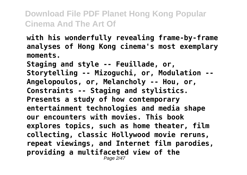**with his wonderfully revealing frame-by-frame analyses of Hong Kong cinema's most exemplary moments.**

**Staging and style -- Feuillade, or, Storytelling -- Mizoguchi, or, Modulation -- Angelopoulos, or, Melancholy -- Hou, or, Constraints -- Staging and stylistics. Presents a study of how contemporary entertainment technologies and media shape our encounters with movies. This book explores topics, such as home theater, film collecting, classic Hollywood movie reruns, repeat viewings, and Internet film parodies, providing a multifaceted view of the** Page 2/47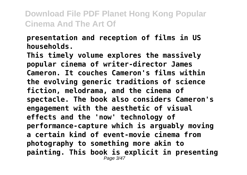#### **presentation and reception of films in US households.**

**This timely volume explores the massively popular cinema of writer-director James Cameron. It couches Cameron's films within the evolving generic traditions of science fiction, melodrama, and the cinema of spectacle. The book also considers Cameron's engagement with the aesthetic of visual effects and the 'now' technology of performance-capture which is arguably moving a certain kind of event-movie cinema from photography to something more akin to painting. This book is explicit in presenting** Page 3/47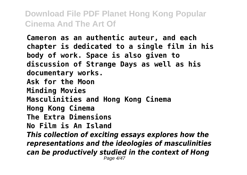**Cameron as an authentic auteur, and each chapter is dedicated to a single film in his body of work. Space is also given to discussion of Strange Days as well as his documentary works. Ask for the Moon Minding Movies Masculinities and Hong Kong Cinema Hong Kong Cinema The Extra Dimensions No Film is An Island** *This collection of exciting essays explores how the representations and the ideologies of masculinities can be productively studied in the context of Hong* Page 4/47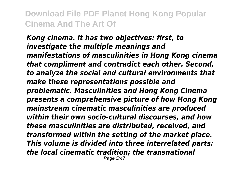*Kong cinema. It has two objectives: first, to investigate the multiple meanings and manifestations of masculinities in Hong Kong cinema that compliment and contradict each other. Second, to analyze the social and cultural environments that make these representations possible and problematic. Masculinities and Hong Kong Cinema presents a comprehensive picture of how Hong Kong mainstream cinematic masculinities are produced within their own socio-cultural discourses, and how these masculinities are distributed, received, and transformed within the setting of the market place. This volume is divided into three interrelated parts: the local cinematic tradition; the transnational* Page 5/47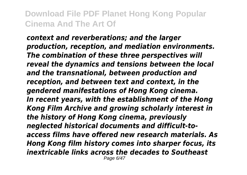*context and reverberations; and the larger production, reception, and mediation environments. The combination of these three perspectives will reveal the dynamics and tensions between the local and the transnational, between production and reception, and between text and context, in the gendered manifestations of Hong Kong cinema. In recent years, with the establishment of the Hong Kong Film Archive and growing scholarly interest in the history of Hong Kong cinema, previously neglected historical documents and difficult-toaccess films have offered new research materials. As Hong Kong film history comes into sharper focus, its inextricable links across the decades to Southeast* Page 6/47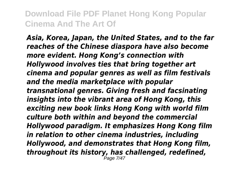*Asia, Korea, Japan, the United States, and to the far reaches of the Chinese diaspora have also become more evident. Hong Kong's connection with Hollywood involves ties that bring together art cinema and popular genres as well as film festivals and the media marketplace with popular transnational genres. Giving fresh and facsinating insights into the vibrant area of Hong Kong, this exciting new book links Hong Kong with world film culture both within and beyond the commercial Hollywood paradigm. It emphasizes Hong Kong film in relation to other cinema industries, including Hollywood, and demonstrates that Hong Kong film, throughout its history, has challenged, redefined,* Page 7/47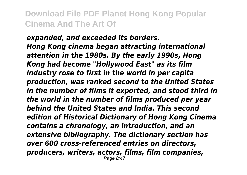*expanded, and exceeded its borders. Hong Kong cinema began attracting international attention in the 1980s. By the early 1990s, Hong Kong had become "Hollywood East" as its film industry rose to first in the world in per capita production, was ranked second to the United States in the number of films it exported, and stood third in the world in the number of films produced per year behind the United States and India. This second edition of Historical Dictionary of Hong Kong Cinema contains a chronology, an introduction, and an extensive bibliography. The dictionary section has over 600 cross-referenced entries on directors, producers, writers, actors, films, film companies,* Page 8/47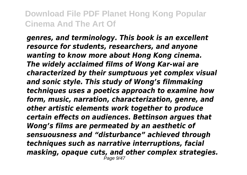*genres, and terminology. This book is an excellent resource for students, researchers, and anyone wanting to know more about Hong Kong cinema. The widely acclaimed films of Wong Kar-wai are characterized by their sumptuous yet complex visual and sonic style. This study of Wong's filmmaking techniques uses a poetics approach to examine how form, music, narration, characterization, genre, and other artistic elements work together to produce certain effects on audiences. Bettinson argues that Wong's films are permeated by an aesthetic of sensuousness and "disturbance" achieved through techniques such as narrative interruptions, facial masking, opaque cuts, and other complex strategies.* Page 9/47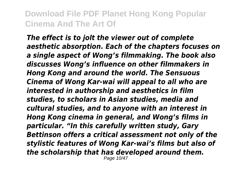*The effect is to jolt the viewer out of complete aesthetic absorption. Each of the chapters focuses on a single aspect of Wong's filmmaking. The book also discusses Wong's influence on other filmmakers in Hong Kong and around the world. The Sensuous Cinema of Wong Kar-wai will appeal to all who are interested in authorship and aesthetics in film studies, to scholars in Asian studies, media and cultural studies, and to anyone with an interest in Hong Kong cinema in general, and Wong's films in particular. "In this carefully written study, Gary Bettinson offers a critical assessment not only of the stylistic features of Wong Kar-wai's films but also of the scholarship that has developed around them.*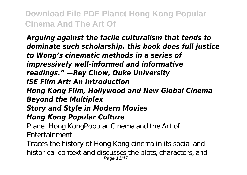*Arguing against the facile culturalism that tends to dominate such scholarship, this book does full justice to Wong's cinematic methods in a series of impressively well-informed and informative readings." —Rey Chow, Duke University ISE Film Art: An Introduction Hong Kong Film, Hollywood and New Global Cinema Beyond the Multiplex Story and Style in Modern Movies Hong Kong Popular Culture*

Planet Hong KongPopular Cinema and the Art of Entertainment

Traces the history of Hong Kong cinema in its social and historical context and discusses the plots, characters, and Page 11/47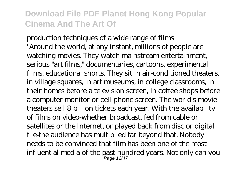production techniques of a wide range of films "Around the world, at any instant, millions of people are watching movies. They watch mainstream entertainment, serious "art films," documentaries, cartoons, experimental films, educational shorts. They sit in air-conditioned theaters, in village squares, in art museums, in college classrooms, in their homes before a television screen, in coffee shops before a computer monitor or cell-phone screen. The world's movie theaters sell 8 billion tickets each year. With the availability of films on video-whether broadcast, fed from cable or satellites or the Internet, or played back from disc or digital file-the audience has multiplied far beyond that. Nobody needs to be convinced that film has been one of the most influential media of the past hundred years. Not only can you Page 12/47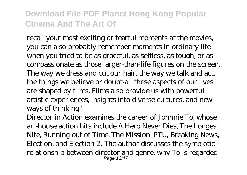recall your most exciting or tearful moments at the movies, you can also probably remember moments in ordinary life when you tried to be as graceful, as selfless, as tough, or as compassionate as those larger-than-life figures on the screen. The way we dress and cut our hair, the way we talk and act, the things we believe or doubt-all these aspects of our lives are shaped by films. Films also provide us with powerful artistic experiences, insights into diverse cultures, and new ways of thinking"

Director in Action examines the career of Johnnie To, whose art-house action hits include A Hero Never Dies, The Longest Nite, Running out of Time, The Mission, PTU, Breaking News, Election, and Election 2. The author discusses the symbiotic relationship between director and genre, why To is regarded Page 13/47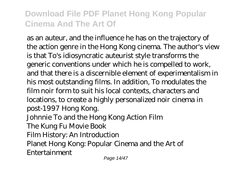as an auteur, and the influence he has on the trajectory of the action genre in the Hong Kong cinema. The author's view is that To's idiosyncratic auteurist style transforms the generic conventions under which he is compelled to work, and that there is a discernible element of experimentalism in his most outstanding films. In addition, To modulates the film noir form to suit his local contexts, characters and locations, to create a highly personalized noir cinema in post-1997 Hong Kong. Johnnie To and the Hong Kong Action Film The Kung Fu Movie Book Film History: An Introduction Planet Hong Kong: Popular Cinema and the Art of Entertainment

Page 14/47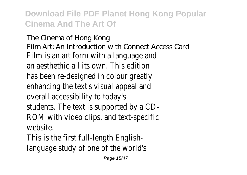The Cinema of Hong Kong Film Art: An Introduction with Connect Access Card Film is an art form with a language and an aesthethic all its own. This edition has been re-designed in colour greatly enhancing the text's visual appeal and overall accessibility to today's students. The text is supported by a CD-ROM with video clips, and text-specific website.

This is the first full-length Englishlanguage study of one of the world's

Page 15/47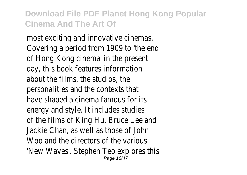most exciting and innovative cinemas. Covering a period from 1909 to 'the end of Hong Kong cinema' in the present day, this book features information about the films, the studios, the personalities and the contexts that have shaped a cinema famous for its energy and style. It includes studies of the films of King Hu, Bruce Lee and Jackie Chan, as well as those of John Woo and the directors of the various 'New Waves'. Stephen Teo explores this Page 16/47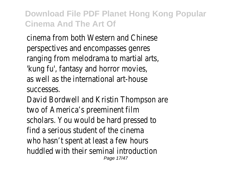cinema from both Western and Chinese perspectives and encompasses genres ranging from melodrama to martial arts, 'kung fu', fantasy and horror movies, as well as the international art-house successes.

David Bordwell and Kristin Thompson are two of America's preeminent film scholars. You would be hard pressed to find a serious student of the cinema who hasn't spent at least a few hours huddled with their seminal introduction Page 17/47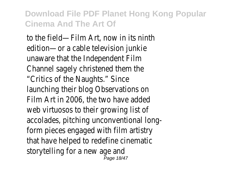to the field—Film Art, now in its ninth edition—or a cable television junkie unaware that the Independent Film Channel sagely christened them the "Critics of the Naughts." Since launching their blog Observations on Film Art in 2006, the two have added web virtuosos to their growing list of accolades, pitching unconventional longform pieces engaged with film artistry that have helped to redefine cinematic storytelling for a new age and Page 18/47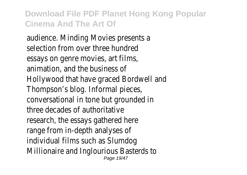audience. Minding Movies presents a selection from over three hundred essays on genre movies, art films, animation, and the business of Hollywood that have graced Bordwell and Thompson's blog. Informal pieces, conversational in tone but grounded in three decades of authoritative research, the essays gathered here range from in-depth analyses of individual films such as Slumdog Millionaire and Inglourious Basterds to Page 19/47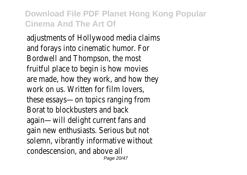adjustments of Hollywood media claims and forays into cinematic humor. For Bordwell and Thompson, the most fruitful place to begin is how movies are made, how they work, and how they work on us. Written for film lovers, these essays—on topics ranging from Borat to blockbusters and back again—will delight current fans and gain new enthusiasts. Serious but not solemn, vibrantly informative without condescension, and above all Page 20/47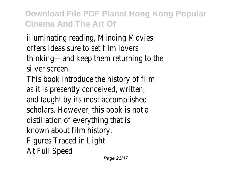illuminating reading, Minding Movies offers ideas sure to set film lovers thinking—and keep them returning to the silver screen.

This book introduce the history of film as it is presently conceived, written, and taught by its most accomplished scholars. However, this book is not a distillation of everything that is known about film history. Figures Traced in Light At Full Speed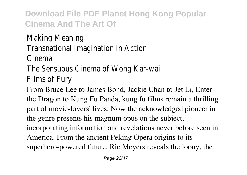Making Meaning Transnational Imagination in Action

Cinema

The Sensuous Cinema of Wong Kar-wai Films of Fury

From Bruce Lee to James Bond, Jackie Chan to Jet Li, Enter the Dragon to Kung Fu Panda, kung fu films remain a thrilling part of movie-lovers' lives. Now the acknowledged pioneer in the genre presents his magnum opus on the subject, incorporating information and revelations never before seen in America. From the ancient Peking Opera origins to its superhero-powered future, Ric Meyers reveals the loony, the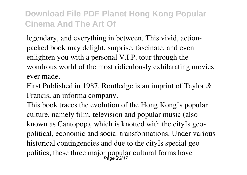legendary, and everything in between. This vivid, actionpacked book may delight, surprise, fascinate, and even enlighten you with a personal V.I.P. tour through the wondrous world of the most ridiculously exhilarating movies ever made.

First Published in 1987. Routledge is an imprint of Taylor & Francis, an informa company.

This book traces the evolution of the Hong Kong<sup>[]</sup>s popular culture, namely film, television and popular music (also known as Cantopop), which is knotted with the city<sup>[]</sup>s geopolitical, economic and social transformations. Under various historical contingencies and due to the city special geopolitics, these three major popular cultural forms have Page 23/47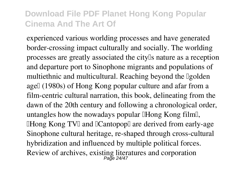experienced various worlding processes and have generated border-crossing impact culturally and socially. The worlding processes are greatly associated the city is nature as a reception and departure port to Sinophone migrants and populations of multiethnic and multicultural. Reaching beyond the Igolden agel (1980s) of Hong Kong popular culture and afar from a film-centric cultural narration, this book, delineating from the dawn of the 20th century and following a chronological order, untangles how the nowadays popular **IHong Kong film**, **IHong Kong TVI and ICantopopI are derived from early-age** Sinophone cultural heritage, re-shaped through cross-cultural hybridization and influenced by multiple political forces. Review of archives, existing literatures and corporation<br>Page 24/47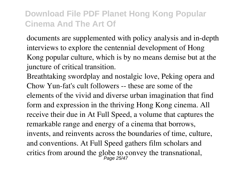documents are supplemented with policy analysis and in-depth interviews to explore the centennial development of Hong Kong popular culture, which is by no means demise but at the juncture of critical transition.

Breathtaking swordplay and nostalgic love, Peking opera and Chow Yun-fat's cult followers -- these are some of the elements of the vivid and diverse urban imagination that find form and expression in the thriving Hong Kong cinema. All receive their due in At Full Speed, a volume that captures the remarkable range and energy of a cinema that borrows, invents, and reinvents across the boundaries of time, culture, and conventions. At Full Speed gathers film scholars and critics from around the globe to convey the transnational,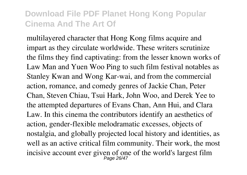multilayered character that Hong Kong films acquire and impart as they circulate worldwide. These writers scrutinize the films they find captivating: from the lesser known works of Law Man and Yuen Woo Ping to such film festival notables as Stanley Kwan and Wong Kar-wai, and from the commercial action, romance, and comedy genres of Jackie Chan, Peter Chan, Steven Chiau, Tsui Hark, John Woo, and Derek Yee to the attempted departures of Evans Chan, Ann Hui, and Clara Law. In this cinema the contributors identify an aesthetics of action, gender-flexible melodramatic excesses, objects of nostalgia, and globally projected local history and identities, as well as an active critical film community. Their work, the most incisive account ever given of one of the world's largest film Page 26/47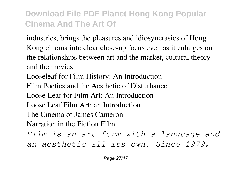industries, brings the pleasures and idiosyncrasies of Hong Kong cinema into clear close-up focus even as it enlarges on the relationships between art and the market, cultural theory and the movies.

Looseleaf for Film History: An Introduction Film Poetics and the Aesthetic of Disturbance Loose Leaf for Film Art: An Introduction Loose Leaf Film Art: an Introduction The Cinema of James Cameron Narration in the Fiction Film *Film is an art form with a language and an aesthetic all its own. Since 1979,*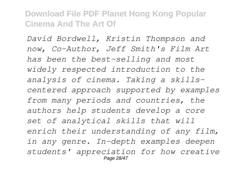*David Bordwell, Kristin Thompson and now, Co-Author, Jeff Smith's Film Art has been the best-selling and most widely respected introduction to the analysis of cinema. Taking a skillscentered approach supported by examples from many periods and countries, the authors help students develop a core set of analytical skills that will enrich their understanding of any film, in any genre. In-depth examples deepen students' appreciation for how creative* Page 28/47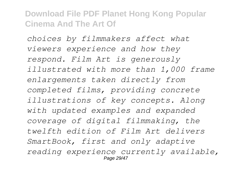*choices by filmmakers affect what viewers experience and how they respond. Film Art is generously illustrated with more than 1,000 frame enlargements taken directly from completed films, providing concrete illustrations of key concepts. Along with updated examples and expanded coverage of digital filmmaking, the twelfth edition of Film Art delivers SmartBook, first and only adaptive reading experience currently available,* Page 29/47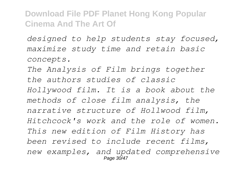*designed to help students stay focused, maximize study time and retain basic concepts.*

*The Analysis of Film brings together the authors studies of classic Hollywood film. It is a book about the methods of close film analysis, the narrative structure of Hollwood film, Hitchcock's work and the role of women. This new edition of Film History has been revised to include recent films, new examples, and updated comprehensive* Page 30/47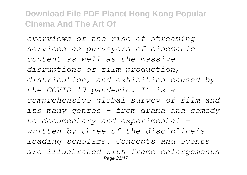*overviews of the rise of streaming services as purveyors of cinematic content as well as the massive disruptions of film production, distribution, and exhibition caused by the COVID-19 pandemic. It is a comprehensive global survey of film and its many genres – from drama and comedy to documentary and experimental – written by three of the discipline's leading scholars. Concepts and events are illustrated with frame enlargements* Page 31/47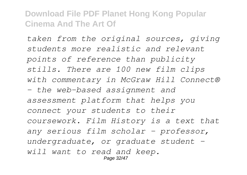*taken from the original sources, giving students more realistic and relevant points of reference than publicity stills. There are 100 new film clips with commentary in McGraw Hill Connect® – the web-based assignment and assessment platform that helps you connect your students to their coursework. Film History is a text that any serious film scholar – professor, undergraduate, or graduate student – will want to read and keep.* Page 32/47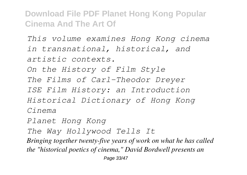*This volume examines Hong Kong cinema in transnational, historical, and artistic contexts. On the History of Film Style The Films of Carl-Theodor Dreyer ISE Film History: an Introduction Historical Dictionary of Hong Kong Cinema Planet Hong Kong The Way Hollywood Tells It*

*Bringing together twenty-five years of work on what he has called the "historical poetics of cinema," David Bordwell presents an*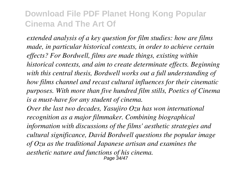*extended analysis of a key question for film studies: how are films made, in particular historical contexts, in order to achieve certain effects? For Bordwell, films are made things, existing within historical contexts, and aim to create determinate effects. Beginning with this central thesis, Bordwell works out a full understanding of how films channel and recast cultural influences for their cinematic purposes. With more than five hundred film stills, Poetics of Cinema is a must-have for any student of cinema.*

*Over the last two decades, Yasujiro Ozu has won international recognition as a major filmmaker. Combining biographical information with discussions of the films' aesthetic strategies and cultural significance, David Bordwell questions the popular image of Ozu as the traditional Japanese artisan and examines the aesthetic nature and functions of his cinema.* Page 34/47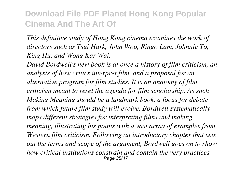*This definitive study of Hong Kong cinema examines the work of directors such as Tsui Hark, John Woo, Ringo Lam, Johnnie To, King Hu, and Wong Kar Wai.*

*David Bordwell's new book is at once a history of film criticism, an analysis of how critics interpret film, and a proposal for an alternative program for film studies. It is an anatomy of film criticism meant to reset the agenda for film scholarship. As such Making Meaning should be a landmark book, a focus for debate from which future film study will evolve. Bordwell systematically maps different strategies for interpreting films and making meaning, illustrating his points with a vast array of examples from Western film criticism. Following an introductory chapter that sets out the terms and scope of the argument, Bordwell goes on to show how critical institutions constrain and contain the very practices* Page 35/47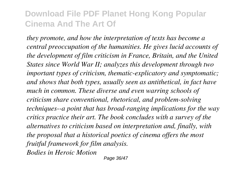*they promote, and how the interpretation of texts has become a central preoccupation of the humanities. He gives lucid accounts of the development of film criticism in France, Britain, and the United States since World War II; analyzes this development through two important types of criticism, thematic-explicatory and symptomatic; and shows that both types, usually seen as antithetical, in fact have much in common. These diverse and even warring schools of criticism share conventional, rhetorical, and problem-solving techniques--a point that has broad-ranging implications for the way critics practice their art. The book concludes with a survey of the alternatives to criticism based on interpretation and, finally, with the proposal that a historical poetics of cinema offers the most fruitful framework for film analysis. Bodies in Heroic Motion*

Page 36/47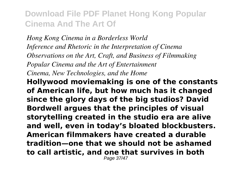*Hong Kong Cinema in a Borderless World Inference and Rhetoric in the Interpretation of Cinema Observations on the Art, Craft, and Business of Filmmaking Popular Cinema and the Art of Entertainment Cinema, New Technologies, and the Home*

**Hollywood moviemaking is one of the constants of American life, but how much has it changed since the glory days of the big studios? David Bordwell argues that the principles of visual storytelling created in the studio era are alive and well, even in today's bloated blockbusters. American filmmakers have created a durable tradition—one that we should not be ashamed to call artistic, and one that survives in both**

Page 37/47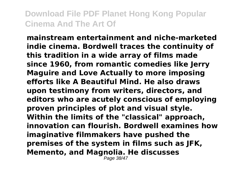**mainstream entertainment and niche-marketed indie cinema. Bordwell traces the continuity of this tradition in a wide array of films made since 1960, from romantic comedies like Jerry Maguire and Love Actually to more imposing efforts like A Beautiful Mind. He also draws upon testimony from writers, directors, and editors who are acutely conscious of employing proven principles of plot and visual style. Within the limits of the "classical" approach, innovation can flourish. Bordwell examines how imaginative filmmakers have pushed the premises of the system in films such as JFK, Memento, and Magnolia. He discusses**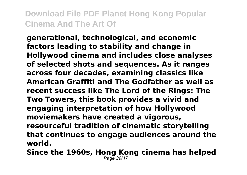**generational, technological, and economic factors leading to stability and change in Hollywood cinema and includes close analyses of selected shots and sequences. As it ranges across four decades, examining classics like American Graffiti and The Godfather as well as recent success like The Lord of the Rings: The Two Towers, this book provides a vivid and engaging interpretation of how Hollywood moviemakers have created a vigorous, resourceful tradition of cinematic storytelling that continues to engage audiences around the world.**

**Since the 1960s, Hong Kong cinema has helped** Page 39/4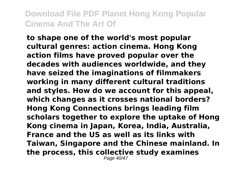**to shape one of the world's most popular cultural genres: action cinema. Hong Kong action films have proved popular over the decades with audiences worldwide, and they have seized the imaginations of filmmakers working in many different cultural traditions and styles. How do we account for this appeal, which changes as it crosses national borders? Hong Kong Connections brings leading film scholars together to explore the uptake of Hong Kong cinema in Japan, Korea, India, Australia, France and the US as well as its links with Taiwan, Singapore and the Chinese mainland. In the process, this collective study examines** Page 40/47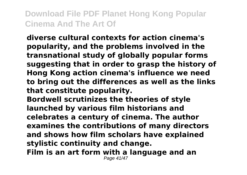**diverse cultural contexts for action cinema's popularity, and the problems involved in the transnational study of globally popular forms suggesting that in order to grasp the history of Hong Kong action cinema's influence we need to bring out the differences as well as the links that constitute popularity.**

**Bordwell scrutinizes the theories of style launched by various film historians and celebrates a century of cinema. The author examines the contributions of many directors and shows how film scholars have explained stylistic continuity and change. Film is an art form with a language and an** Page 41/47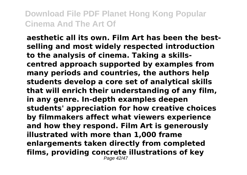**aesthetic all its own. Film Art has been the bestselling and most widely respected introduction to the analysis of cinema. Taking a skillscentred approach supported by examples from many periods and countries, the authors help students develop a core set of analytical skills that will enrich their understanding of any film, in any genre. In-depth examples deepen students' appreciation for how creative choices by filmmakers affect what viewers experience and how they respond. Film Art is generously illustrated with more than 1,000 frame enlargements taken directly from completed films, providing concrete illustrations of key** Page 42/47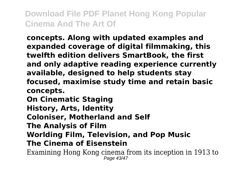**concepts. Along with updated examples and expanded coverage of digital filmmaking, this twelfth edition delivers SmartBook, the first and only adaptive reading experience currently available, designed to help students stay focused, maximise study time and retain basic concepts.**

**On Cinematic Staging**

**History, Arts, Identity**

**Coloniser, Motherland and Self**

**The Analysis of Film**

**Worlding Film, Television, and Pop Music**

#### **The Cinema of Eisenstein**

Examining Hong Kong cinema from its inception in 1913 to Page 43/47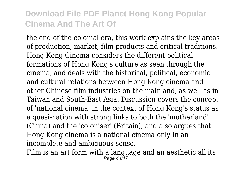the end of the colonial era, this work explains the key areas of production, market, film products and critical traditions. Hong Kong Cinema considers the different political formations of Hong Kong's culture as seen through the cinema, and deals with the historical, political, economic and cultural relations between Hong Kong cinema and other Chinese film industries on the mainland, as well as in Taiwan and South-East Asia. Discussion covers the concept of 'national cinema' in the context of Hong Kong's status as a quasi-nation with strong links to both the 'motherland' (China) and the 'coloniser' (Britain), and also argues that Hong Kong cinema is a national cinema only in an incomplete and ambiguous sense.

Film is an art form with a language and an aesthetic all its  $P$ age  $44/47$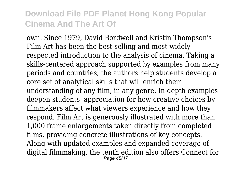own. Since 1979, David Bordwell and Kristin Thompson's Film Art has been the best-selling and most widely respected introduction to the analysis of cinema. Taking a skills-centered approach supported by examples from many periods and countries, the authors help students develop a core set of analytical skills that will enrich their understanding of any film, in any genre. In-depth examples deepen students' appreciation for how creative choices by filmmakers affect what viewers experience and how they respond. Film Art is generously illustrated with more than 1,000 frame enlargements taken directly from completed films, providing concrete illustrations of key concepts. Along with updated examples and expanded coverage of digital filmmaking, the tenth edition also offers Connect for Page 45/47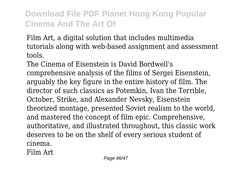Film Art, a digital solution that includes multimedia tutorials along with web-based assignment and assessment tools.

The Cinema of Eisenstein is David Bordwell's comprehensive analysis of the films of Sergei Eisenstein, arguably the key figure in the entire history of film. The director of such classics as Potemkin, Ivan the Terrible, October, Strike, and Alexander Nevsky, Eisenstein theorized montage, presented Soviet realism to the world, and mastered the concept of film epic. Comprehensive, authoritative, and illustrated throughout, this classic work deserves to be on the shelf of every serious student of cinema.

Film Art